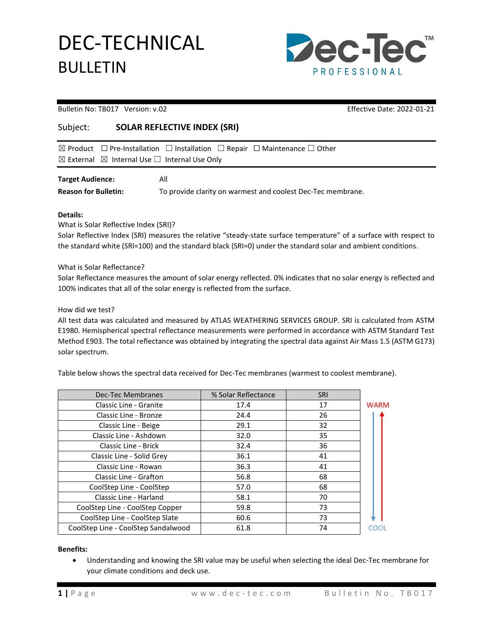DEC-TECHNICAL BULLETIN



Bulletin No: TB017 Version: v.02 Effective Date: 2022-01-21

## Subject: **SOLAR REFLECTIVE INDEX (SRI)**

|                         | $\boxtimes$ Product $\Box$ Pre-Installation $\Box$ Installation $\Box$ Repair $\Box$ Maintenance $\Box$ Other |
|-------------------------|---------------------------------------------------------------------------------------------------------------|
|                         | $\boxtimes$ External $\boxtimes$ Internal Use $\Box$ Internal Use Only                                        |
| <b>Target Audience:</b> | All                                                                                                           |

**Reason for Bulletin:** To provide clarity on warmest and coolest Dec-Tec membrane.

## **Details:**

What is Solar Reflective Index (SRI)?

Solar Reflective Index (SRI) measures the relative "steady-state surface temperature" of a surface with respect to the standard white (SRI=100) and the standard black (SRI=0) under the standard solar and ambient conditions.

What is Solar Reflectance?

Solar Reflectance measures the amount of solar energy reflected. 0% indicates that no solar energy is reflected and 100% indicates that all of the solar energy is reflected from the surface.

How did we test?

All test data was calculated and measured by ATLAS WEATHERING SERVICES GROUP. SRI is calculated from ASTM E1980. Hemispherical spectral reflectance measurements were performed in accordance with ASTM Standard Test Method E903. The total reflectance was obtained by integrating the spectral data against Air Mass 1.5 (ASTM G173) solar spectrum.

Table below shows the spectral data received for Dec-Tec membranes (warmest to coolest membrane).

| <b>Dec-Tec Membranes</b>            | % Solar Reflectance | SRI |             |
|-------------------------------------|---------------------|-----|-------------|
| Classic Line - Granite              | 17.4                | 17  | <b>WARM</b> |
| Classic Line - Bronze               | 24.4                | 26  |             |
| Classic Line - Beige                | 29.1                | 32  |             |
| Classic Line - Ashdown              | 32.0                | 35  |             |
| Classic Line - Brick                | 32.4                | 36  |             |
| Classic Line - Solid Grey           | 36.1                | 41  |             |
| Classic Line - Rowan                | 36.3                | 41  |             |
| Classic Line - Grafton              | 56.8                | 68  |             |
| CoolStep Line - CoolStep            | 57.0                | 68  |             |
| Classic Line - Harland              | 58.1                | 70  |             |
| CoolStep Line - CoolStep Copper     | 59.8                | 73  |             |
| CoolStep Line - CoolStep Slate      | 60.6                | 73  |             |
| CoolStep Line - CoolStep Sandalwood | 61.8                | 74  |             |

**Benefits:**

• Understanding and knowing the SRI value may be useful when selecting the ideal Dec-Tec membrane for your climate conditions and deck use.